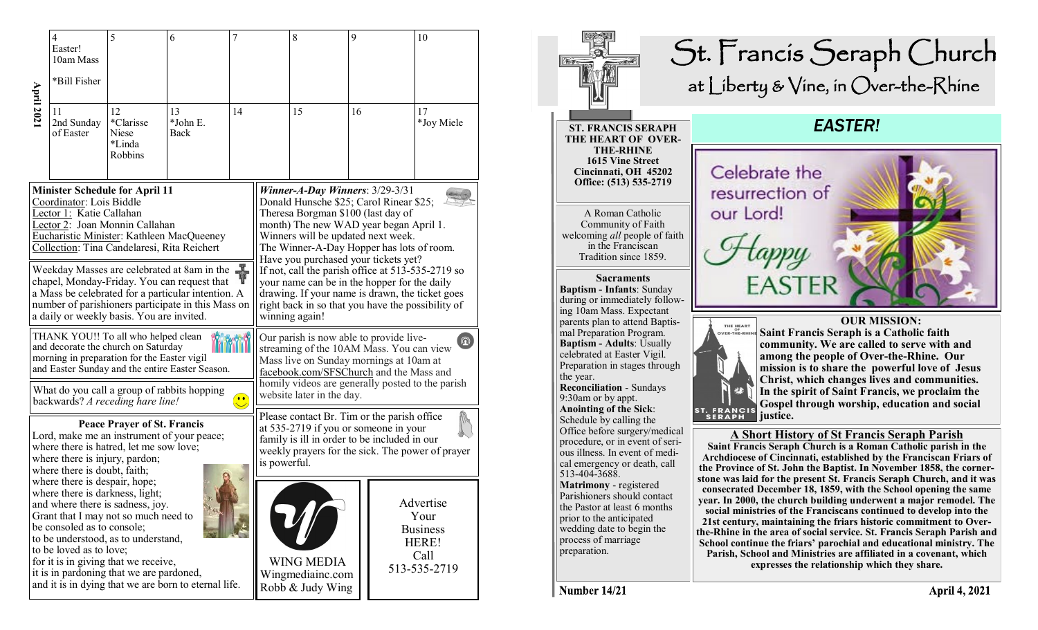|                                                                                                                                                                                                                                                                                                                                                                                                                                            | 4<br>Easter!<br>10am Mass                                                                                                                                                                                                                                                                                                                                                                | 5                                                    | 6                      | 7  |                                                                                                                                                                                                                                                                                                                                                                                                                                                                                                      | 8                                                                                                                                                                                                        | 9  |  | 10                                                                    |
|--------------------------------------------------------------------------------------------------------------------------------------------------------------------------------------------------------------------------------------------------------------------------------------------------------------------------------------------------------------------------------------------------------------------------------------------|------------------------------------------------------------------------------------------------------------------------------------------------------------------------------------------------------------------------------------------------------------------------------------------------------------------------------------------------------------------------------------------|------------------------------------------------------|------------------------|----|------------------------------------------------------------------------------------------------------------------------------------------------------------------------------------------------------------------------------------------------------------------------------------------------------------------------------------------------------------------------------------------------------------------------------------------------------------------------------------------------------|----------------------------------------------------------------------------------------------------------------------------------------------------------------------------------------------------------|----|--|-----------------------------------------------------------------------|
| <b>April 202</b>                                                                                                                                                                                                                                                                                                                                                                                                                           | *Bill Fisher                                                                                                                                                                                                                                                                                                                                                                             |                                                      |                        |    |                                                                                                                                                                                                                                                                                                                                                                                                                                                                                                      |                                                                                                                                                                                                          |    |  |                                                                       |
|                                                                                                                                                                                                                                                                                                                                                                                                                                            | 11<br>2nd Sunday<br>of Easter                                                                                                                                                                                                                                                                                                                                                            | 12<br>*Clarisse<br><b>Niese</b><br>*Linda<br>Robbins | 13<br>*John E.<br>Back | 14 |                                                                                                                                                                                                                                                                                                                                                                                                                                                                                                      | 15                                                                                                                                                                                                       | 16 |  | 17<br>*Joy Miele                                                      |
| <b>Minister Schedule for April 11</b><br>Coordinator: Lois Biddle<br>Lector 1: Katie Callahan<br>Lector 2: Joan Monnin Callahan<br>Eucharistic Minister: Kathleen MacQueeney<br>Collection: Tina Candelaresi, Rita Reichert<br>Ý<br>Weekday Masses are celebrated at 8am in the<br>chapel, Monday-Friday. You can request that<br>a Mass be celebrated for a particular intention. A<br>number of parishioners participate in this Mass on |                                                                                                                                                                                                                                                                                                                                                                                          |                                                      |                        |    | Winner-A-Day Winners: $3/29-3/31$<br>Donald Hunsche \$25; Carol Rinear \$25;<br>Theresa Borgman \$100 (last day of<br>month) The new WAD year began April 1.<br>Winners will be updated next week.<br>The Winner-A-Day Hopper has lots of room.<br>Have you purchased your tickets yet?<br>If not, call the parish office at 513-535-2719 so<br>your name can be in the hopper for the daily<br>drawing. If your name is drawn, the ticket goes<br>right back in so that you have the possibility of |                                                                                                                                                                                                          |    |  |                                                                       |
| a daily or weekly basis. You are invited.<br>THANK YOU!! To all who helped clean<br>and decorate the church on Saturday<br>morning in preparation for the Easter vigil<br>and Easter Sunday and the entire Easter Season.                                                                                                                                                                                                                  |                                                                                                                                                                                                                                                                                                                                                                                          |                                                      |                        |    | winning again!<br>Our parish is now able to provide live-<br>$\left[ \text{\O} \right]$<br>streaming of the 10AM Mass. You can view<br>Mass live on Sunday mornings at 10am at<br>facebook.com/SFSChurch and the Mass and<br>homily videos are generally posted to the parish                                                                                                                                                                                                                        |                                                                                                                                                                                                          |    |  |                                                                       |
| What do you call a group of rabbits hopping<br>$\overline{\mathbf{C}}$<br>backwards? A receding hare line!                                                                                                                                                                                                                                                                                                                                 |                                                                                                                                                                                                                                                                                                                                                                                          |                                                      |                        |    | website later in the day.                                                                                                                                                                                                                                                                                                                                                                                                                                                                            |                                                                                                                                                                                                          |    |  |                                                                       |
|                                                                                                                                                                                                                                                                                                                                                                                                                                            | <b>Peace Prayer of St. Francis</b><br>Lord, make me an instrument of your peace;<br>where there is hatred, let me sow love;<br>where there is injury, pardon;<br>where there is doubt, faith;                                                                                                                                                                                            |                                                      |                        |    |                                                                                                                                                                                                                                                                                                                                                                                                                                                                                                      | Please contact Br. Tim or the parish office<br>at 535-2719 if you or someone in your<br>family is ill in order to be included in our<br>weekly prayers for the sick. The power of prayer<br>is powerful. |    |  |                                                                       |
|                                                                                                                                                                                                                                                                                                                                                                                                                                            | where there is despair, hope;<br>where there is darkness, light;<br>and where there is sadness, joy.<br>Grant that I may not so much need to<br>be consoled as to console;<br>to be understood, as to understand,<br>to be loved as to love;<br>for it is in giving that we receive,<br>it is in pardoning that we are pardoned,<br>and it is in dying that we are born to eternal life. |                                                      |                        |    |                                                                                                                                                                                                                                                                                                                                                                                                                                                                                                      | <b>WING MEDIA</b><br>Wingmediainc.com                                                                                                                                                                    |    |  | Advertise<br>Your<br><b>Business</b><br>HERE!<br>Call<br>513-535-2719 |